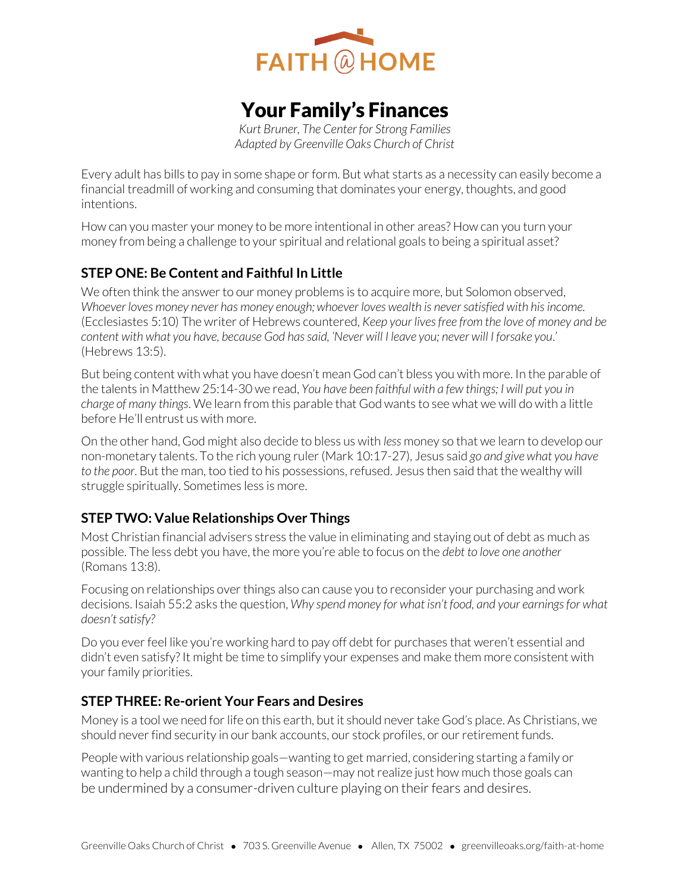

# Your Family's Finances

*Kurt Bruner, The Center for Strong Families Adapted by Greenville Oaks Church of Christ* 

Every adult has bills to pay in some shape or form. But what starts as a necessity can easily become a financial treadmill of working and consuming that dominates your energy, thoughts, and good intentions.

How can you master your money to be more intentional in other areas? How can you turn your money from being a challenge to your spiritual and relational goals to being a spiritual asset?

# **STEP ONE: Be Content and Faithful In Little**

We often think the answer to our money problems is to acquire more, but Solomon observed, *Whoever loves money never has money enough; whoever loves wealth is never satisfied with his income.* (Ecclesiastes 5:10) The writer of Hebrews countered, *Keep your lives free from the love of money and be content with what you have, because God has said, 'Never will I leave you; never will I forsake you*.' (Hebrews 13:5).

But being content with what you have doesn't mean God can't bless you with more. In the parable of the talents in Matthew 25:14-30 we read, *You have been faithful with a few things; I will put you in charge of many things*. We learn from this parable that God wants to see what we will do with a little before He'll entrust us with more.

On the other hand, God might also decide to bless us with *less* money so that we learn to develop our non-monetary talents. To the rich young ruler (Mark 10:17-27), Jesus said *go and give what you have to the poor*. But the man, too tied to his possessions, refused. Jesus then said that the wealthy will struggle spiritually. Sometimes less is more.

# **STEP TWO: Value Relationships Over Things**

Most Christian financial advisers stress the value in eliminating and staying out of debt as much as possible. The less debt you have, the more you're able to focus on the *debt to love one another* (Romans 13:8).

Focusing on relationships over things also can cause you to reconsider your purchasing and work decisions. Isaiah 55:2 asks the question, *Why spend money for what isn't food, and your earnings for what doesn't satisfy?*

Do you ever feel like you're working hard to pay off debt for purchases that weren't essential and didn't even satisfy? It might be time to simplify your expenses and make them more consistent with your family priorities.

# **STEP THREE: Re-orient Your Fears and Desires**

Money is a tool we need for life on this earth, but it should never take God's place. As Christians, we should never find security in our bank accounts, our stock profiles, or our retirement funds.

People with various relationship goals—wanting to get married, considering starting a family or wanting to help a child through a tough season—may not realize just how much those goals can be undermined by a consumer-driven culture playing on their fears and desires.